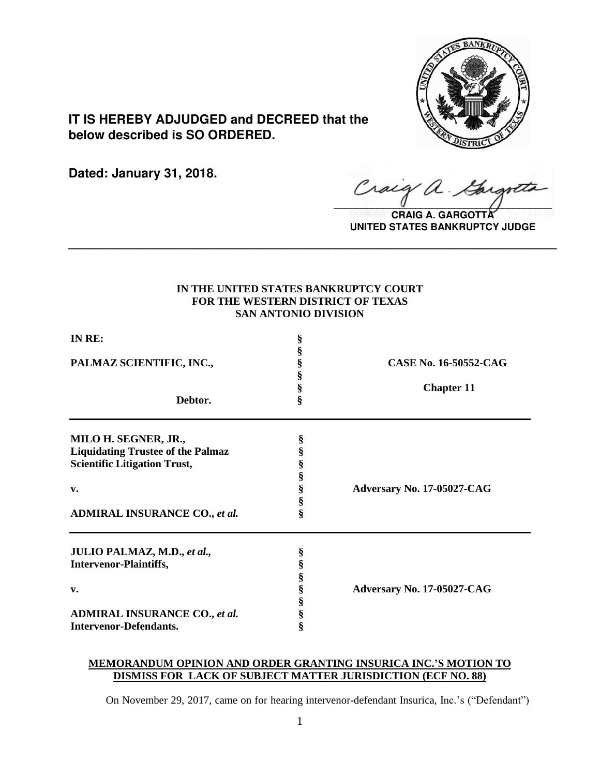

# **IT IS HEREBY ADJUDGED and DECREED that the below described is SO ORDERED.**

**Dated: January 31, 2018.**

Craig a.

**CRAIG A. GARGOTT UNITED STATES BANKRUPTCY JUDGE**

# **IN THE UNITED STATES BANKRUPTCY COURT FOR THE WESTERN DISTRICT OF TEXAS SAN ANTONIO DIVISION**

**\_\_\_\_\_\_\_\_\_\_\_\_\_\_\_\_\_\_\_\_\_\_\_\_\_\_\_\_\_\_\_\_\_\_\_\_\_\_\_\_\_\_\_\_\_\_\_\_\_\_\_\_\_\_\_\_\_\_\_\_\_\_\_\_**

| IN RE:                                   | § |                            |
|------------------------------------------|---|----------------------------|
|                                          | § |                            |
| PALMAZ SCIENTIFIC, INC.,                 | § | CASE No. 16-50552-CAG      |
|                                          | ş |                            |
|                                          | Ş | <b>Chapter 11</b>          |
| Debtor.                                  | Ş |                            |
| MILO H. SEGNER, JR.,                     | § |                            |
| <b>Liquidating Trustee of the Palmaz</b> | § |                            |
| <b>Scientific Litigation Trust,</b>      | ş |                            |
|                                          | § |                            |
| v.                                       | Ş | Adversary No. 17-05027-CAG |
|                                          | Ş |                            |
| <b>ADMIRAL INSURANCE CO., et al.</b>     | ş |                            |
| JULIO PALMAZ, M.D., et al.,              | § |                            |
| <b>Intervenor-Plaintiffs,</b>            | § |                            |
|                                          | § |                            |
| v.                                       | § | Adversary No. 17-05027-CAG |
|                                          | ş |                            |
| <b>ADMIRAL INSURANCE CO., et al.</b>     | § |                            |
| <b>Intervenor-Defendants.</b>            | ş |                            |

# **MEMORANDUM OPINION AND ORDER GRANTING INSURICA INC.'S MOTION TO DISMISS FOR LACK OF SUBJECT MATTER JURISDICTION (ECF NO. 88)**

On November 29, 2017, came on for hearing intervenor-defendant Insurica, Inc.'s ("Defendant")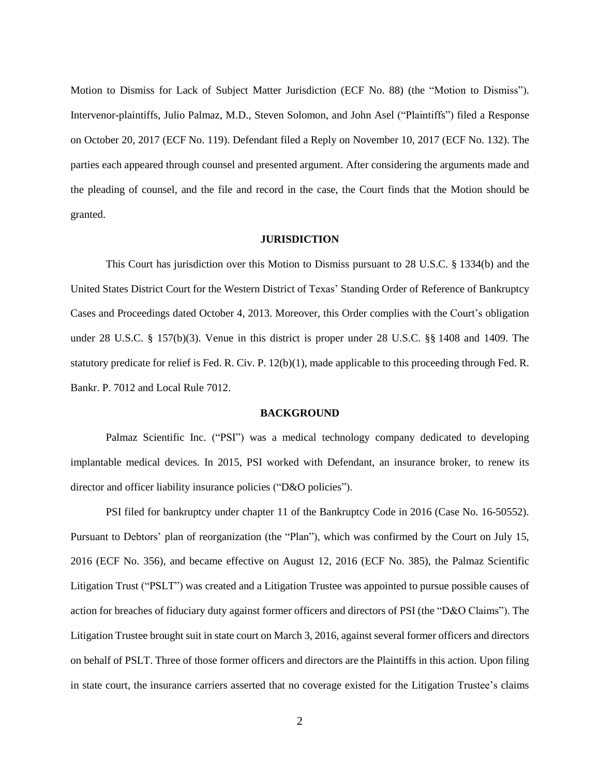Motion to Dismiss for Lack of Subject Matter Jurisdiction (ECF No. 88) (the "Motion to Dismiss"). Intervenor-plaintiffs, Julio Palmaz, M.D., Steven Solomon, and John Asel ("Plaintiffs") filed a Response on October 20, 2017 (ECF No. 119). Defendant filed a Reply on November 10, 2017 (ECF No. 132). The parties each appeared through counsel and presented argument. After considering the arguments made and the pleading of counsel, and the file and record in the case, the Court finds that the Motion should be granted.

#### **JURISDICTION**

This Court has jurisdiction over this Motion to Dismiss pursuant to 28 U.S.C. § 1334(b) and the United States District Court for the Western District of Texas' Standing Order of Reference of Bankruptcy Cases and Proceedings dated October 4, 2013. Moreover, this Order complies with the Court's obligation under 28 U.S.C. § 157(b)(3). Venue in this district is proper under 28 U.S.C. §§ 1408 and 1409. The statutory predicate for relief is Fed. R. Civ. P. 12(b)(1), made applicable to this proceeding through Fed. R. Bankr. P. 7012 and Local Rule 7012.

#### **BACKGROUND**

Palmaz Scientific Inc. ("PSI") was a medical technology company dedicated to developing implantable medical devices. In 2015, PSI worked with Defendant, an insurance broker, to renew its director and officer liability insurance policies ("D&O policies").

PSI filed for bankruptcy under chapter 11 of the Bankruptcy Code in 2016 (Case No. 16-50552). Pursuant to Debtors' plan of reorganization (the "Plan"), which was confirmed by the Court on July 15, 2016 (ECF No. 356), and became effective on August 12, 2016 (ECF No. 385), the Palmaz Scientific Litigation Trust ("PSLT") was created and a Litigation Trustee was appointed to pursue possible causes of action for breaches of fiduciary duty against former officers and directors of PSI (the "D&O Claims"). The Litigation Trustee brought suit in state court on March 3, 2016, against several former officers and directors on behalf of PSLT. Three of those former officers and directors are the Plaintiffs in this action. Upon filing in state court, the insurance carriers asserted that no coverage existed for the Litigation Trustee's claims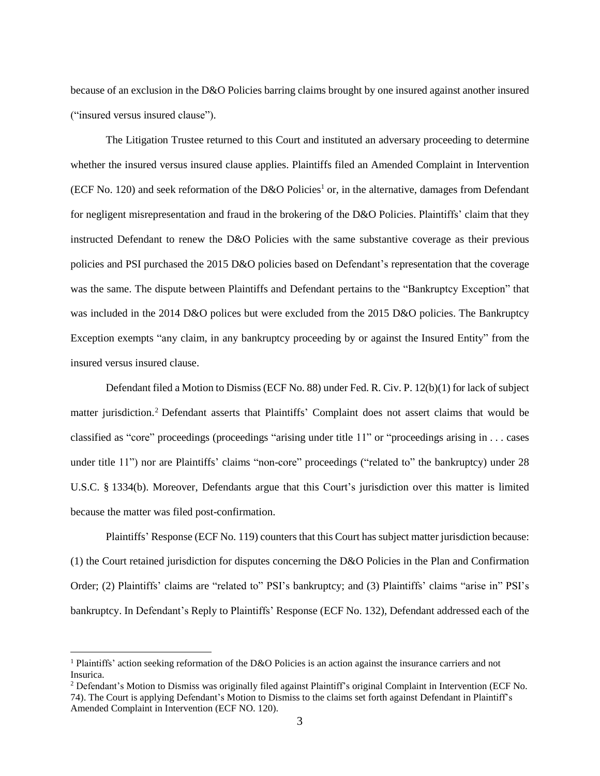because of an exclusion in the D&O Policies barring claims brought by one insured against another insured ("insured versus insured clause").

The Litigation Trustee returned to this Court and instituted an adversary proceeding to determine whether the insured versus insured clause applies. Plaintiffs filed an Amended Complaint in Intervention (ECF No. 120) and seek reformation of the D&O Policies<sup>1</sup> or, in the alternative, damages from Defendant for negligent misrepresentation and fraud in the brokering of the D&O Policies. Plaintiffs' claim that they instructed Defendant to renew the D&O Policies with the same substantive coverage as their previous policies and PSI purchased the 2015 D&O policies based on Defendant's representation that the coverage was the same. The dispute between Plaintiffs and Defendant pertains to the "Bankruptcy Exception" that was included in the 2014 D&O polices but were excluded from the 2015 D&O policies. The Bankruptcy Exception exempts "any claim, in any bankruptcy proceeding by or against the Insured Entity" from the insured versus insured clause.

Defendant filed a Motion to Dismiss (ECF No. 88) under Fed. R. Civ. P. 12(b)(1) for lack of subject matter jurisdiction.<sup>2</sup> Defendant asserts that Plaintiffs' Complaint does not assert claims that would be classified as "core" proceedings (proceedings "arising under title 11" or "proceedings arising in . . . cases under title 11") nor are Plaintiffs' claims "non-core" proceedings ("related to" the bankruptcy) under 28 U.S.C. § 1334(b). Moreover, Defendants argue that this Court's jurisdiction over this matter is limited because the matter was filed post-confirmation.

Plaintiffs' Response (ECF No. 119) counters that this Court has subject matter jurisdiction because: (1) the Court retained jurisdiction for disputes concerning the D&O Policies in the Plan and Confirmation Order; (2) Plaintiffs' claims are "related to" PSI's bankruptcy; and (3) Plaintiffs' claims "arise in" PSI's bankruptcy. In Defendant's Reply to Plaintiffs' Response (ECF No. 132), Defendant addressed each of the

 $\overline{a}$ 

<sup>&</sup>lt;sup>1</sup> Plaintiffs' action seeking reformation of the D&O Policies is an action against the insurance carriers and not Insurica.

<sup>2</sup> Defendant's Motion to Dismiss was originally filed against Plaintiff's original Complaint in Intervention (ECF No. 74). The Court is applying Defendant's Motion to Dismiss to the claims set forth against Defendant in Plaintiff's Amended Complaint in Intervention (ECF NO. 120).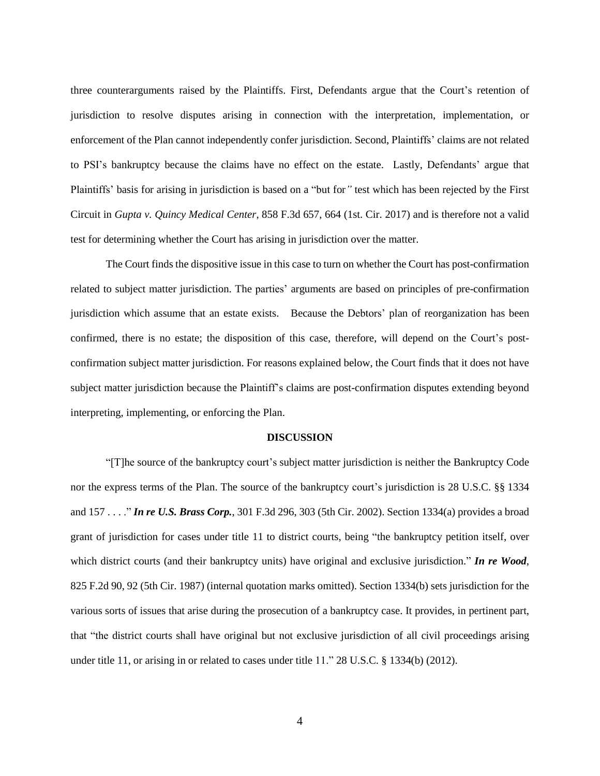three counterarguments raised by the Plaintiffs. First, Defendants argue that the Court's retention of jurisdiction to resolve disputes arising in connection with the interpretation, implementation, or enforcement of the Plan cannot independently confer jurisdiction. Second, Plaintiffs' claims are not related to PSI's bankruptcy because the claims have no effect on the estate. Lastly, Defendants' argue that Plaintiffs' basis for arising in jurisdiction is based on a "but for*"* test which has been rejected by the First Circuit in *Gupta v. Quincy Medical Center*, 858 F.3d 657, 664 (1st. Cir. 2017) and is therefore not a valid test for determining whether the Court has arising in jurisdiction over the matter.

The Court finds the dispositive issue in this case to turn on whether the Court has post-confirmation related to subject matter jurisdiction. The parties' arguments are based on principles of pre-confirmation jurisdiction which assume that an estate exists. Because the Debtors' plan of reorganization has been confirmed, there is no estate; the disposition of this case, therefore, will depend on the Court's postconfirmation subject matter jurisdiction. For reasons explained below, the Court finds that it does not have subject matter jurisdiction because the Plaintiff's claims are post-confirmation disputes extending beyond interpreting, implementing, or enforcing the Plan.

## **DISCUSSION**

"[T]he source of the bankruptcy court's subject matter jurisdiction is neither the Bankruptcy Code nor the express terms of the Plan. The source of the bankruptcy court's jurisdiction is 28 U.S.C. §§ 1334 and 157 . . . ." *In re U.S. Brass Corp.*, 301 F.3d 296, 303 (5th Cir. 2002). Section 1334(a) provides a broad grant of jurisdiction for cases under title 11 to district courts, being "the bankruptcy petition itself, over which district courts (and their bankruptcy units) have original and exclusive jurisdiction." *In re Wood*, 825 F.2d 90, 92 (5th Cir. 1987) (internal quotation marks omitted). Section 1334(b) sets jurisdiction for the various sorts of issues that arise during the prosecution of a bankruptcy case. It provides, in pertinent part, that "the district courts shall have original but not exclusive jurisdiction of all civil proceedings arising under title 11, or arising in or related to cases under title 11." 28 U.S.C. § 1334(b) (2012).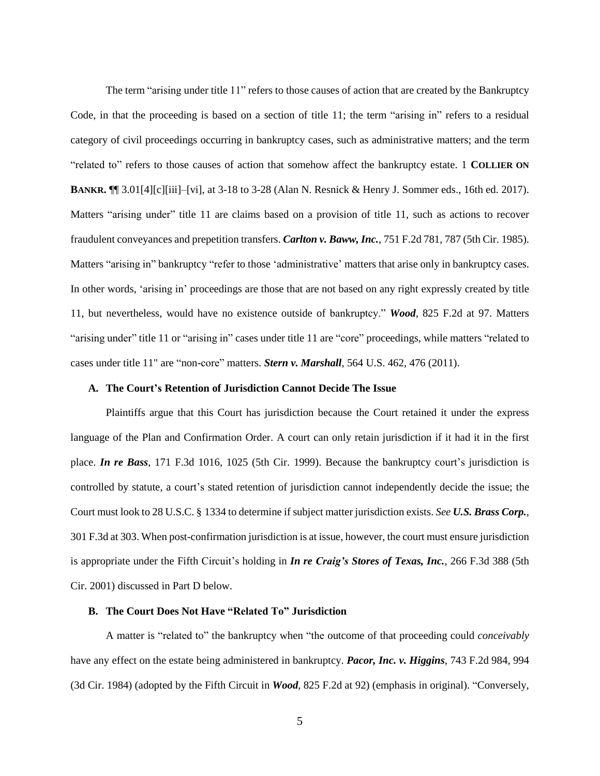The term "arising under title 11" refers to those causes of action that are created by the Bankruptcy Code, in that the proceeding is based on a section of title 11; the term "arising in" refers to a residual category of civil proceedings occurring in bankruptcy cases, such as administrative matters; and the term "related to" refers to those causes of action that somehow affect the bankruptcy estate. 1 **COLLIER ON BANKR.** ¶¶ 3.01[4][c][iii]–[vi], at 3-18 to 3-28 (Alan N. Resnick & Henry J. Sommer eds., 16th ed. 2017). Matters "arising under" title 11 are claims based on a provision of title 11, such as actions to recover fraudulent conveyances and prepetition transfers. *Carlton v. Baww, Inc.*, 751 F.2d 781, 787 (5th Cir. 1985). Matters "arising in" bankruptcy "refer to those 'administrative' matters that arise only in bankruptcy cases. In other words, 'arising in' proceedings are those that are not based on any right expressly created by title 11, but nevertheless, would have no existence outside of bankruptcy." *Wood*, 825 F.2d at 97. Matters "arising under" title 11 or "arising in" cases under title 11 are "core" proceedings, while matters "related to cases under title 11" are "non-core" matters. *Stern v. Marshall*, 564 U.S. 462, 476 (2011).

## **A. The Court's Retention of Jurisdiction Cannot Decide The Issue**

Plaintiffs argue that this Court has jurisdiction because the Court retained it under the express language of the Plan and Confirmation Order. A court can only retain jurisdiction if it had it in the first place. *In re Bass*, 171 F.3d 1016, 1025 (5th Cir. 1999). Because the bankruptcy court's jurisdiction is controlled by statute, a court's stated retention of jurisdiction cannot independently decide the issue; the Court must look to 28 U.S.C. § 1334 to determine if subject matter jurisdiction exists. *See U.S. Brass Corp.*, 301 F.3d at 303. When post-confirmation jurisdiction is at issue, however, the court must ensure jurisdiction is appropriate under the Fifth Circuit's holding in *In re Craig's Stores of Texas, Inc.*, 266 F.3d 388 (5th Cir. 2001) discussed in Part D below.

## **B. The Court Does Not Have "Related To" Jurisdiction**

A matter is "related to" the bankruptcy when "the outcome of that proceeding could *conceivably* have any effect on the estate being administered in bankruptcy. *Pacor, Inc. v. Higgins*, 743 F.2d 984, 994 (3d Cir. 1984) (adopted by the Fifth Circuit in *Wood*, 825 F.2d at 92) (emphasis in original). "Conversely,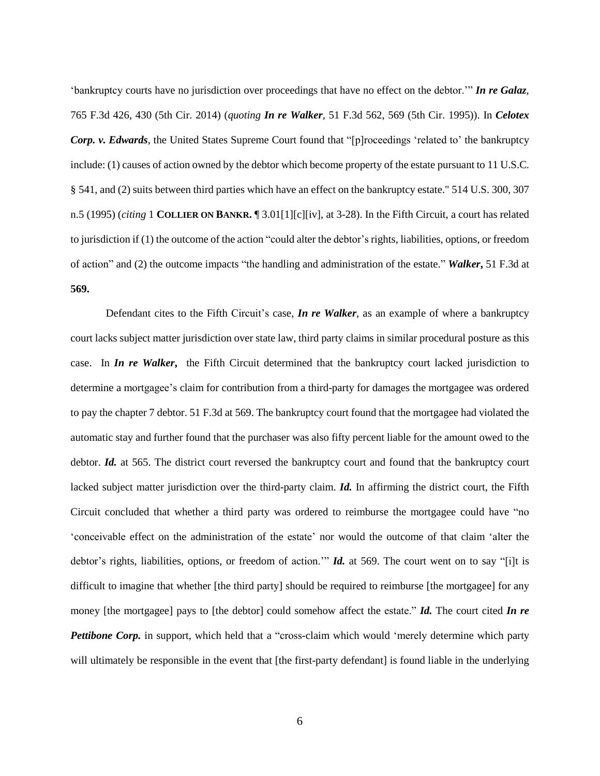'bankruptcy courts have no jurisdiction over proceedings that have no effect on the debtor.'" *In re Galaz*, 765 F.3d 426, 430 (5th Cir. 2014) (*quoting In re Walker*, 51 F.3d 562, 569 (5th Cir. 1995)). In *Celotex Corp. v. Edwards*, the United States Supreme Court found that "[p]roceedings 'related to' the bankruptcy include: (1) causes of action owned by the debtor which become property of the estate pursuant to 11 U.S.C. § 541, and (2) suits between third parties which have an effect on the bankruptcy estate." 514 U.S. 300, 307 n.5 (1995) (*citing* 1 **COLLIER ON BANKR.** ¶ 3.01[1][c][iv], at 3-28). In the Fifth Circuit, a court has related to jurisdiction if (1) the outcome of the action "could alter the debtor's rights, liabilities, options, or freedom of action" and (2) the outcome impacts "the handling and administration of the estate." *Walker***,** 51 F.3d at **569.** 

Defendant cites to the Fifth Circuit's case, *In re Walker*, as an example of where a bankruptcy court lacks subject matter jurisdiction over state law, third party claims in similar procedural posture as this case. In *In re Walker***,** the Fifth Circuit determined that the bankruptcy court lacked jurisdiction to determine a mortgagee's claim for contribution from a third-party for damages the mortgagee was ordered to pay the chapter 7 debtor. 51 F.3d at 569. The bankruptcy court found that the mortgagee had violated the automatic stay and further found that the purchaser was also fifty percent liable for the amount owed to the debtor. *Id.* at 565. The district court reversed the bankruptcy court and found that the bankruptcy court lacked subject matter jurisdiction over the third-party claim. *Id.* In affirming the district court, the Fifth Circuit concluded that whether a third party was ordered to reimburse the mortgagee could have "no 'conceivable effect on the administration of the estate' nor would the outcome of that claim 'alter the debtor's rights, liabilities, options, or freedom of action.'" *Id.* at 569. The court went on to say "[i]t is difficult to imagine that whether [the third party] should be required to reimburse [the mortgagee] for any money [the mortgagee] pays to [the debtor] could somehow affect the estate." *Id.* The court cited *In re Pettibone Corp.* in support, which held that a "cross-claim which would 'merely determine which party will ultimately be responsible in the event that [the first-party defendant] is found liable in the underlying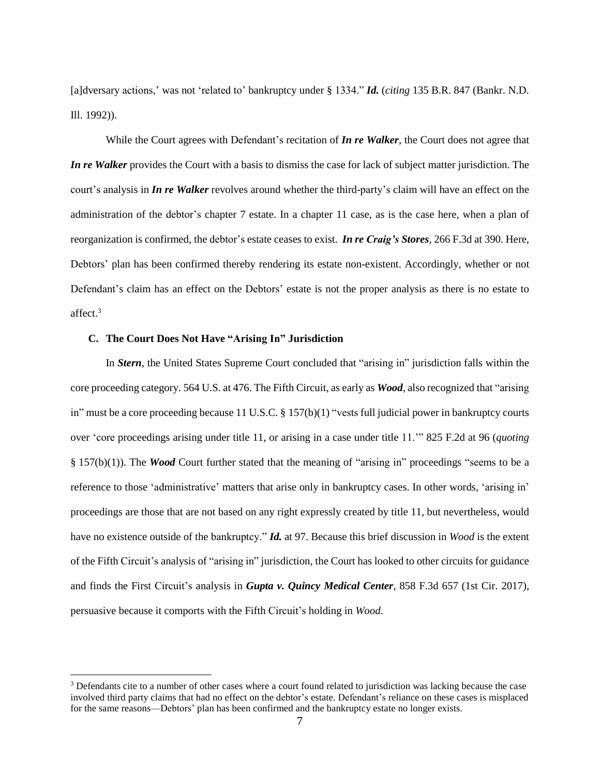[a]dversary actions,' was not 'related to' bankruptcy under § 1334." *Id.* (*citing* 135 B.R. 847 (Bankr. N.D. Ill. 1992)).

While the Court agrees with Defendant's recitation of *In re Walker*, the Court does not agree that *In re Walker* provides the Court with a basis to dismiss the case for lack of subject matter jurisdiction. The court's analysis in *In re Walker* revolves around whether the third-party's claim will have an effect on the administration of the debtor's chapter 7 estate. In a chapter 11 case, as is the case here, when a plan of reorganization is confirmed, the debtor's estate ceases to exist. *In re Craig's Stores*, 266 F.3d at 390. Here, Debtors' plan has been confirmed thereby rendering its estate non-existent. Accordingly, whether or not Defendant's claim has an effect on the Debtors' estate is not the proper analysis as there is no estate to affect. 3

## **C. The Court Does Not Have "Arising In" Jurisdiction**

 $\overline{a}$ 

In *Stern*, the United States Supreme Court concluded that "arising in" jurisdiction falls within the core proceeding category. 564 U.S. at 476. The Fifth Circuit, as early as *Wood*, also recognized that "arising in" must be a core proceeding because 11 U.S.C. § 157(b)(1) "vests full judicial power in bankruptcy courts over 'core proceedings arising under title 11, or arising in a case under title 11.'" 825 F.2d at 96 (*quoting* § 157(b)(1)). The *Wood* Court further stated that the meaning of "arising in" proceedings "seems to be a reference to those 'administrative' matters that arise only in bankruptcy cases. In other words, 'arising in' proceedings are those that are not based on any right expressly created by title 11, but nevertheless, would have no existence outside of the bankruptcy." *Id.* at 97. Because this brief discussion in *Wood* is the extent of the Fifth Circuit's analysis of "arising in" jurisdiction, the Court has looked to other circuits for guidance and finds the First Circuit's analysis in *Gupta v. Quincy Medical Center*, 858 F.3d 657 (1st Cir. 2017), persuasive because it comports with the Fifth Circuit's holding in *Wood*.

<sup>&</sup>lt;sup>3</sup> Defendants cite to a number of other cases where a court found related to jurisdiction was lacking because the case involved third party claims that had no effect on the debtor's estate. Defendant's reliance on these cases is misplaced for the same reasons—Debtors' plan has been confirmed and the bankruptcy estate no longer exists.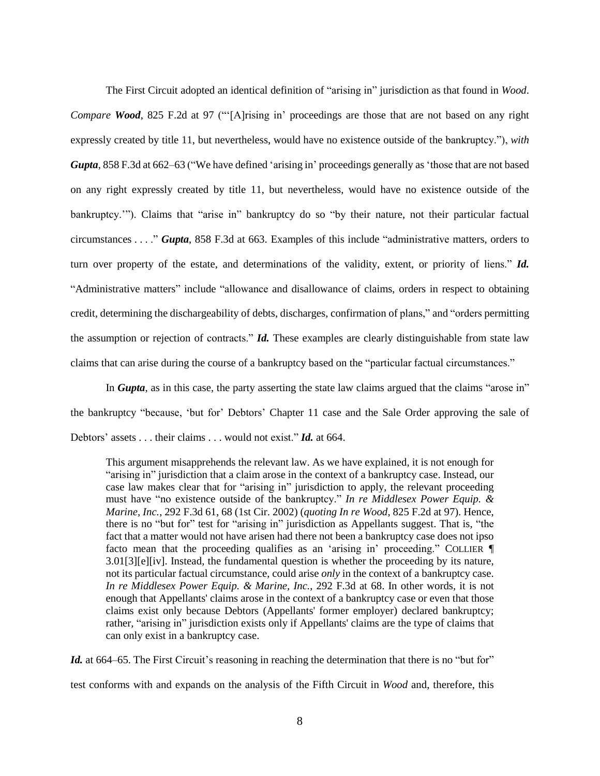The First Circuit adopted an identical definition of "arising in" jurisdiction as that found in *Wood*. *Compare Wood*, 825 F.2d at 97 ("[A]rising in' proceedings are those that are not based on any right expressly created by title 11, but nevertheless, would have no existence outside of the bankruptcy."), *with Gupta*, 858 F.3d at 662–63 ("We have defined 'arising in' proceedings generally as 'those that are not based on any right expressly created by title 11, but nevertheless, would have no existence outside of the bankruptcy.'"). Claims that "arise in" bankruptcy do so "by their nature, not their particular factual circumstances . . . ." *Gupta*, 858 F.3d at 663. Examples of this include "administrative matters, orders to turn over property of the estate, and determinations of the validity, extent, or priority of liens." *Id.* "Administrative matters" include "allowance and disallowance of claims, orders in respect to obtaining credit, determining the dischargeability of debts, discharges, confirmation of plans," and "orders permitting the assumption or rejection of contracts." *Id.* These examples are clearly distinguishable from state law claims that can arise during the course of a bankruptcy based on the "particular factual circumstances."

In *Gupta*, as in this case, the party asserting the state law claims argued that the claims "arose in" the bankruptcy "because, 'but for' Debtors' Chapter 11 case and the Sale Order approving the sale of Debtors' assets . . . their claims . . . would not exist." *Id.* at 664.

This argument misapprehends the relevant law. As we have explained, it is not enough for "arising in" jurisdiction that a claim arose in the context of a bankruptcy case. Instead, our case law makes clear that for "arising in" jurisdiction to apply, the relevant proceeding must have "no existence outside of the bankruptcy." *In re Middlesex Power Equip. & Marine, Inc.*, 292 F.3d 61, 68 (1st Cir. 2002) (*quoting In re Wood*, 825 F.2d at 97). Hence, there is no "but for" test for "arising in" jurisdiction as Appellants suggest. That is, "the fact that a matter would not have arisen had there not been a bankruptcy case does not ipso facto mean that the proceeding qualifies as an 'arising in' proceeding." COLLIER  $\P$ 3.01[3][e][iv]. Instead, the fundamental question is whether the proceeding by its nature, not its particular factual circumstance, could arise *only* in the context of a bankruptcy case. *In re Middlesex Power Equip. & Marine, Inc.*, 292 F.3d at 68. In other words, it is not enough that Appellants' claims arose in the context of a bankruptcy case or even that those claims exist only because Debtors (Appellants' former employer) declared bankruptcy; rather, "arising in" jurisdiction exists only if Appellants' claims are the type of claims that can only exist in a bankruptcy case.

*Id.* at 664–65. The First Circuit's reasoning in reaching the determination that there is no "but for" test conforms with and expands on the analysis of the Fifth Circuit in *Wood* and, therefore, this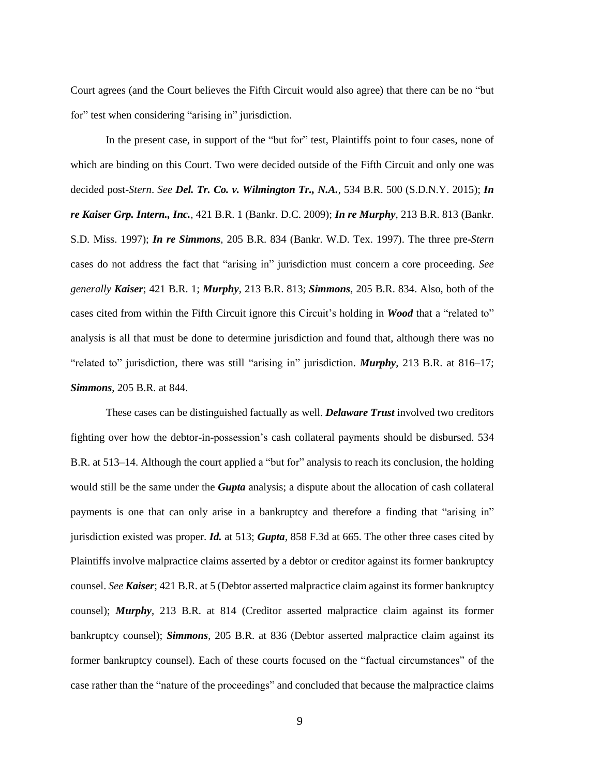Court agrees (and the Court believes the Fifth Circuit would also agree) that there can be no "but for" test when considering "arising in" jurisdiction.

In the present case, in support of the "but for" test, Plaintiffs point to four cases, none of which are binding on this Court. Two were decided outside of the Fifth Circuit and only one was decided post-*Stern*. *See Del. Tr. Co. v. Wilmington Tr., N.A.*, 534 B.R. 500 (S.D.N.Y. 2015); *In re Kaiser Grp. Intern., Inc.*, 421 B.R. 1 (Bankr. D.C. 2009); *In re Murphy*, 213 B.R. 813 (Bankr. S.D. Miss. 1997); *In re Simmons*, 205 B.R. 834 (Bankr. W.D. Tex. 1997). The three pre-*Stern* cases do not address the fact that "arising in" jurisdiction must concern a core proceeding. *See generally Kaiser*; 421 B.R. 1; *Murphy*, 213 B.R. 813; *Simmons*, 205 B.R. 834. Also, both of the cases cited from within the Fifth Circuit ignore this Circuit's holding in *Wood* that a "related to" analysis is all that must be done to determine jurisdiction and found that, although there was no "related to" jurisdiction, there was still "arising in" jurisdiction. *Murphy*, 213 B.R. at 816–17; *Simmons*, 205 B.R. at 844.

These cases can be distinguished factually as well. *Delaware Trust* involved two creditors fighting over how the debtor-in-possession's cash collateral payments should be disbursed. 534 B.R. at 513–14. Although the court applied a "but for" analysis to reach its conclusion, the holding would still be the same under the *Gupta* analysis; a dispute about the allocation of cash collateral payments is one that can only arise in a bankruptcy and therefore a finding that "arising in" jurisdiction existed was proper. *Id.* at 513; *Gupta*, 858 F.3d at 665. The other three cases cited by Plaintiffs involve malpractice claims asserted by a debtor or creditor against its former bankruptcy counsel. *See Kaiser*; 421 B.R. at 5 (Debtor asserted malpractice claim against its former bankruptcy counsel); *Murphy*, 213 B.R. at 814 (Creditor asserted malpractice claim against its former bankruptcy counsel); *Simmons*, 205 B.R. at 836 (Debtor asserted malpractice claim against its former bankruptcy counsel). Each of these courts focused on the "factual circumstances" of the case rather than the "nature of the proceedings" and concluded that because the malpractice claims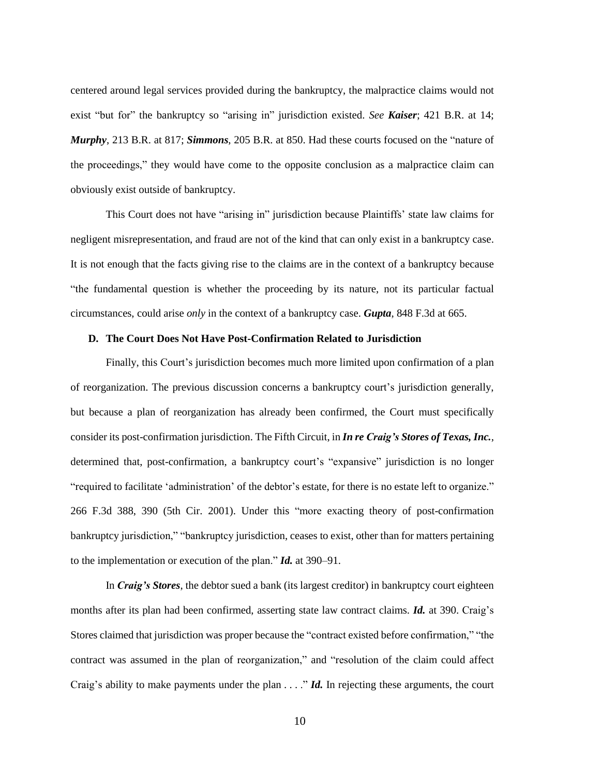centered around legal services provided during the bankruptcy, the malpractice claims would not exist "but for" the bankruptcy so "arising in" jurisdiction existed. *See Kaiser*; 421 B.R. at 14; *Murphy*, 213 B.R. at 817; *Simmons*, 205 B.R. at 850. Had these courts focused on the "nature of the proceedings," they would have come to the opposite conclusion as a malpractice claim can obviously exist outside of bankruptcy.

This Court does not have "arising in" jurisdiction because Plaintiffs' state law claims for negligent misrepresentation, and fraud are not of the kind that can only exist in a bankruptcy case. It is not enough that the facts giving rise to the claims are in the context of a bankruptcy because "the fundamental question is whether the proceeding by its nature, not its particular factual circumstances, could arise *only* in the context of a bankruptcy case. *Gupta*, 848 F.3d at 665.

#### **D. The Court Does Not Have Post-Confirmation Related to Jurisdiction**

Finally, this Court's jurisdiction becomes much more limited upon confirmation of a plan of reorganization. The previous discussion concerns a bankruptcy court's jurisdiction generally, but because a plan of reorganization has already been confirmed, the Court must specifically consider its post-confirmation jurisdiction. The Fifth Circuit, in *In re Craig's Stores of Texas, Inc.*, determined that, post-confirmation, a bankruptcy court's "expansive" jurisdiction is no longer "required to facilitate 'administration' of the debtor's estate, for there is no estate left to organize." 266 F.3d 388, 390 (5th Cir. 2001). Under this "more exacting theory of post-confirmation bankruptcy jurisdiction," "bankruptcy jurisdiction, ceases to exist, other than for matters pertaining to the implementation or execution of the plan." *Id.* at 390–91.

In *Craig's Stores*, the debtor sued a bank (its largest creditor) in bankruptcy court eighteen months after its plan had been confirmed, asserting state law contract claims. *Id.* at 390. Craig's Stores claimed that jurisdiction was proper because the "contract existed before confirmation," "the contract was assumed in the plan of reorganization," and "resolution of the claim could affect Craig's ability to make payments under the plan . . . ." **Id.** In rejecting these arguments, the court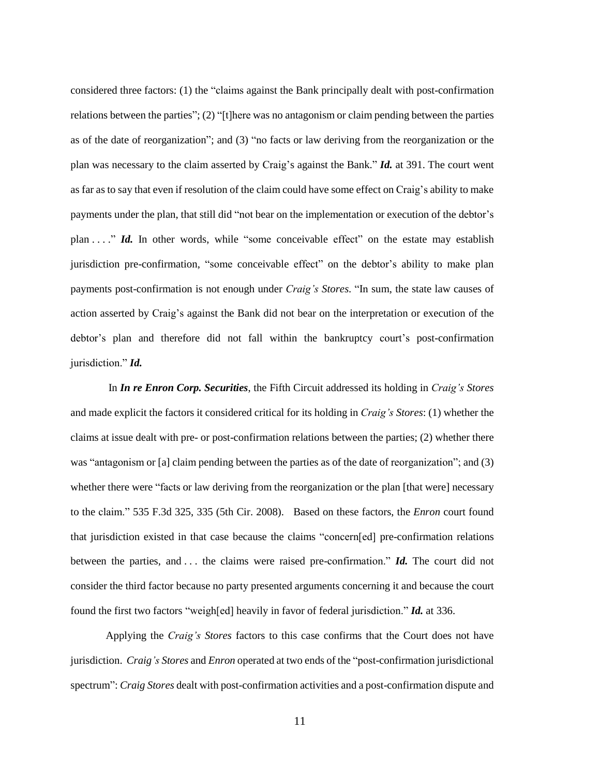considered three factors: (1) the "claims against the Bank principally dealt with post-confirmation relations between the parties"; (2) "[t]here was no antagonism or claim pending between the parties as of the date of reorganization"; and (3) "no facts or law deriving from the reorganization or the plan was necessary to the claim asserted by Craig's against the Bank." *Id.* at 391. The court went as far as to say that even if resolution of the claim could have some effect on Craig's ability to make payments under the plan, that still did "not bear on the implementation or execution of the debtor's plan . . . ." *Id.* In other words, while "some conceivable effect" on the estate may establish jurisdiction pre-confirmation, "some conceivable effect" on the debtor's ability to make plan payments post-confirmation is not enough under *Craig's Stores*. "In sum, the state law causes of action asserted by Craig's against the Bank did not bear on the interpretation or execution of the debtor's plan and therefore did not fall within the bankruptcy court's post-confirmation jurisdiction." *Id.*

In *In re Enron Corp. Securities*, the Fifth Circuit addressed its holding in *Craig's Stores* and made explicit the factors it considered critical for its holding in *Craig's Stores*: (1) whether the claims at issue dealt with pre- or post-confirmation relations between the parties; (2) whether there was "antagonism or [a] claim pending between the parties as of the date of reorganization"; and (3) whether there were "facts or law deriving from the reorganization or the plan [that were] necessary to the claim." 535 F.3d 325, 335 (5th Cir. 2008). Based on these factors, the *Enron* court found that jurisdiction existed in that case because the claims "concern[ed] pre-confirmation relations between the parties, and . . . the claims were raised pre-confirmation." *Id.* The court did not consider the third factor because no party presented arguments concerning it and because the court found the first two factors "weigh[ed] heavily in favor of federal jurisdiction." *Id.* at 336.

Applying the *Craig's Stores* factors to this case confirms that the Court does not have jurisdiction. *Craig's Stores* and *Enron* operated at two ends of the "post-confirmation jurisdictional spectrum": *Craig Stores* dealt with post-confirmation activities and a post-confirmation dispute and